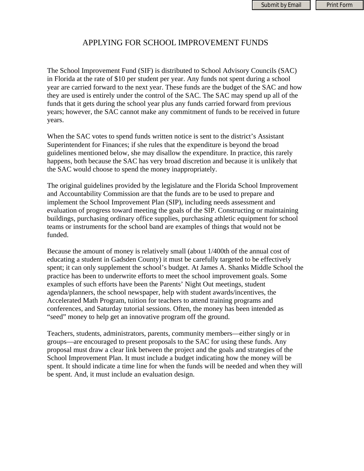## APPLYING FOR SCHOOL IMPROVEMENT FUNDS

The School Improvement Fund (SIF) is distributed to School Advisory Councils (SAC) in Florida at the rate of \$10 per student per year. Any funds not spent during a school year are carried forward to the next year. These funds are the budget of the SAC and how they are used is entirely under the control of the SAC. The SAC may spend up all of the funds that it gets during the school year plus any funds carried forward from previous years; however, the SAC cannot make any commitment of funds to be received in future years.

When the SAC votes to spend funds written notice is sent to the district's Assistant Superintendent for Finances; if she rules that the expenditure is beyond the broad guidelines mentioned below, she may disallow the expenditure. In practice, this rarely happens, both because the SAC has very broad discretion and because it is unlikely that the SAC would choose to spend the money inappropriately.

The original guidelines provided by the legislature and the Florida School Improvement and Accountability Commission are that the funds are to be used to prepare and implement the School Improvement Plan (SIP), including needs assessment and evaluation of progress toward meeting the goals of the SIP. Constructing or maintaining buildings, purchasing ordinary office supplies, purchasing athletic equipment for school teams or instruments for the school band are examples of things that would not be funded.

Because the amount of money is relatively small (about 1/400th of the annual cost of educating a student in Gadsden County) it must be carefully targeted to be effectively spent; it can only supplement the school's budget. At James A. Shanks Middle School the practice has been to underwrite efforts to meet the school improvement goals. Some examples of such efforts have been the Parents' Night Out meetings, student agenda/planners, the school newspaper, help with student awards/incentives, the Accelerated Math Program, tuition for teachers to attend training programs and conferences, and Saturday tutorial sessions. Often, the money has been intended as "seed" money to help get an innovative program off the ground.

Teachers, students, administrators, parents, community members—either singly or in groups—are encouraged to present proposals to the SAC for using these funds. Any proposal must draw a clear link between the project and the goals and strategies of the School Improvement Plan. It must include a budget indicating how the money will be spent. It should indicate a time line for when the funds will be needed and when they will be spent. And, it must include an evaluation design.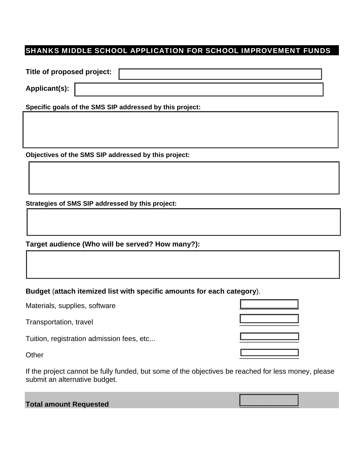## SHANKS MIDDLE SCHOOL APPLICATION FOR SCHOOL IMPROVEMENT FUNDS

| Title of proposed project:                               |  |
|----------------------------------------------------------|--|
| <b>Applicant(s):</b>                                     |  |
| Specific goals of the SMS SIP addressed by this project: |  |
|                                                          |  |
|                                                          |  |
|                                                          |  |
| Objectives of the SMS SIP addressed by this project:     |  |

**Strategies of SMS SIP addressed by this project:** 

**Target audience (Who will be served? How many?):**

**Budget** (**attach itemized list with specific amounts for each category**).

Materials, supplies, software

Transportation, travel \_\_\_\_\_\_\_\_\_\_\_\_\_\_\_

Tuition, registration admission fees, etc...

If the project cannot be fully funded, but some of the objectives be reached for less money, please submit an alternative budget.

## **Total amount Requested \_\_\_\_\_\_\_\_\_\_\_\_\_\_\_**